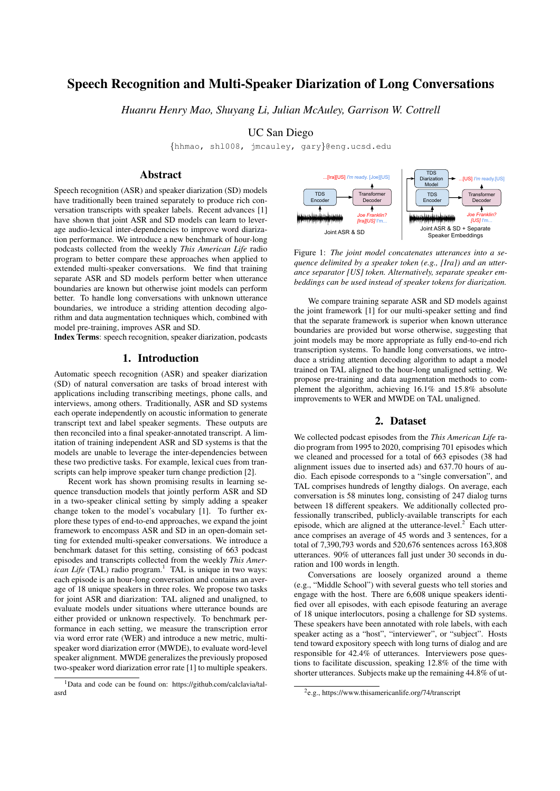# Speech Recognition and Multi-Speaker Diarization of Long Conversations

*Huanru Henry Mao, Shuyang Li, Julian McAuley, Garrison W. Cottrell*

UC San Diego

{hhmao, shl008, jmcauley, gary}@eng.ucsd.edu

## Abstract

Speech recognition (ASR) and speaker diarization (SD) models have traditionally been trained separately to produce rich conversation transcripts with speaker labels. Recent advances [1] have shown that joint ASR and SD models can learn to leverage audio-lexical inter-dependencies to improve word diarization performance. We introduce a new benchmark of hour-long podcasts collected from the weekly *This American Life* radio program to better compare these approaches when applied to extended multi-speaker conversations. We find that training separate ASR and SD models perform better when utterance boundaries are known but otherwise joint models can perform better. To handle long conversations with unknown utterance boundaries, we introduce a striding attention decoding algorithm and data augmentation techniques which, combined with model pre-training, improves ASR and SD.

Index Terms: speech recognition, speaker diarization, podcasts

## 1. Introduction

Automatic speech recognition (ASR) and speaker diarization (SD) of natural conversation are tasks of broad interest with applications including transcribing meetings, phone calls, and interviews, among others. Traditionally, ASR and SD systems each operate independently on acoustic information to generate transcript text and label speaker segments. These outputs are then reconciled into a final speaker-annotated transcript. A limitation of training independent ASR and SD systems is that the models are unable to leverage the inter-dependencies between these two predictive tasks. For example, lexical cues from transcripts can help improve speaker turn change prediction [2].

Recent work has shown promising results in learning sequence transduction models that jointly perform ASR and SD in a two-speaker clinical setting by simply adding a speaker change token to the model's vocabulary [1]. To further explore these types of end-to-end approaches, we expand the joint framework to encompass ASR and SD in an open-domain setting for extended multi-speaker conversations. We introduce a benchmark dataset for this setting, consisting of 663 podcast episodes and transcripts collected from the weekly *This American Life* (TAL) radio program.<sup>1</sup> TAL is unique in two ways: each episode is an hour-long conversation and contains an average of 18 unique speakers in three roles. We propose two tasks for joint ASR and diarization: TAL aligned and unaligned, to evaluate models under situations where utterance bounds are either provided or unknown respectively. To benchmark performance in each setting, we measure the transcription error via word error rate (WER) and introduce a new metric, multispeaker word diarization error (MWDE), to evaluate word-level speaker alignment. MWDE generalizes the previously proposed two-speaker word diarization error rate [1] to multiple speakers. how multimary loses trained spendally to produce risk and SD. The mean through the mean through the mean through the mean of the mean of the mean of the mean of the mean of the mean of the mean of the mean of the mean of



Figure 1: *The joint model concatenates utterances into a sequence delimited by a speaker token (e.g., [Ira]) and an utterance separator [US] token. Alternatively, separate speaker embeddings can be used instead of speaker tokens for diarization.*

We compare training separate ASR and SD models against the joint framework [1] for our multi-speaker setting and find that the separate framework is superior when known utterance boundaries are provided but worse otherwise, suggesting that joint models may be more appropriate as fully end-to-end rich transcription systems. To handle long conversations, we introduce a striding attention decoding algorithm to adapt a model trained on TAL aligned to the hour-long unaligned setting. We propose pre-training and data augmentation methods to complement the algorithm, achieving 16.1% and 15.8% absolute improvements to WER and MWDE on TAL unaligned.

## 2. Dataset

We collected podcast episodes from the *This American Life* radio program from 1995 to 2020, comprising 701 episodes which we cleaned and processed for a total of 663 episodes (38 had alignment issues due to inserted ads) and 637.70 hours of audio. Each episode corresponds to a "single conversation", and TAL comprises hundreds of lengthy dialogs. On average, each conversation is 58 minutes long, consisting of 247 dialog turns between 18 different speakers. We additionally collected professionally transcribed, publicly-available transcripts for each episode, which are aligned at the utterance-level. $2^2$  Each utterance comprises an average of 45 words and 3 sentences, for a total of 7,390,793 words and 520,676 sentences across 163,808 utterances. 90% of utterances fall just under 30 seconds in duration and 100 words in length.

Conversations are loosely organized around a theme (e.g., "Middle School") with several guests who tell stories and engage with the host. There are 6,608 unique speakers identified over all episodes, with each episode featuring an average of 18 unique interlocutors, posing a challenge for SD systems. These speakers have been annotated with role labels, with each speaker acting as a "host", "interviewer", or "subject". Hosts tend toward expository speech with long turns of dialog and are responsible for 42.4% of utterances. Interviewers pose questions to facilitate discussion, speaking 12.8% of the time with shorter utterances. Subjects make up the remaining 44.8% of ut-

<sup>1</sup>Data and code can be found on: https://github.com/calclavia/tal-

<sup>2</sup> e.g., https://www.thisamericanlife.org/74/transcript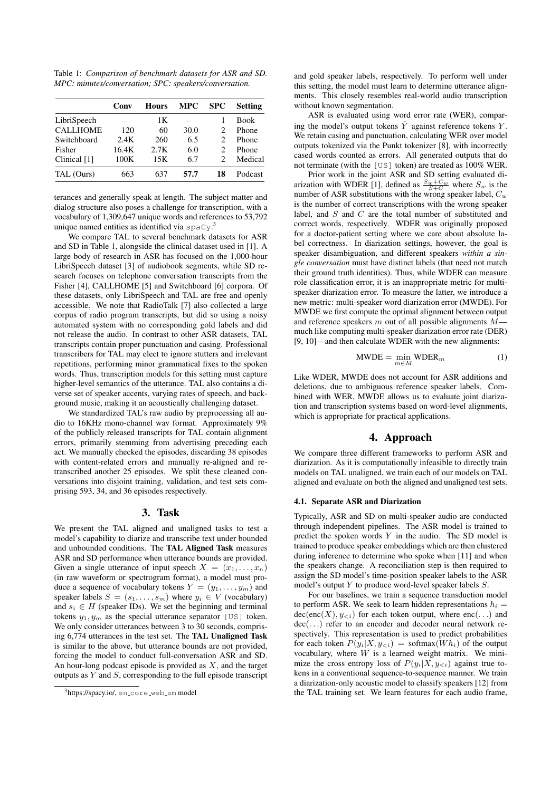Table 1: *Comparison of benchmark datasets for ASR and SD. MPC: minutes/conversation; SPC: speakers/conversation.*

|                 | Conv  | Hours | <b>MPC</b> | <b>SPC</b>                  | <b>Setting</b> |
|-----------------|-------|-------|------------|-----------------------------|----------------|
| LibriSpeech     |       | 1Κ    |            |                             | <b>Book</b>    |
| <b>CALLHOME</b> | 120   | 60    | 30.0       | 2                           | Phone          |
| Switchboard     | 2.4K  | 260   | 6.5        | $\mathcal{D}_{\mathcal{A}}$ | Phone          |
| Fisher          | 16.4K | 2.7K  | 6.0        | 2                           | Phone          |
| Clinical [1]    | 100K  | 15K   | 6.7        | 2                           | Medical        |
| TAL (Ours)      | 663   | 637   | 57.7       | 18                          | Podcast        |

terances and generally speak at length. The subject matter and dialog structure also poses a challenge for transcription, with a vocabulary of 1,309,647 unique words and references to 53,792 unique named entities as identified via  $\text{spaCy}$ .

We compare TAL to several benchmark datasets for ASR and SD in Table 1, alongside the clinical dataset used in [1]. A large body of research in ASR has focused on the 1,000-hour LibriSpeech dataset [3] of audiobook segments, while SD research focuses on telephone conversation transcripts from the Fisher [4], CALLHOME [5] and Switchboard [6] corpora. Of these datasets, only LibriSpeech and TAL are free and openly accessible. We note that RadioTalk [7] also collected a large corpus of radio program transcripts, but did so using a noisy automated system with no corresponding gold labels and did not release the audio. In contrast to other ASR datasets, TAL transcripts contain proper punctuation and casing. Professional transcribers for TAL may elect to ignore stutters and irrelevant repetitions, performing minor grammatical fixes to the spoken words. Thus, transcription models for this setting must capture higher-level semantics of the utterance. TAL also contains a diverse set of speaker accents, varying rates of speech, and background music, making it an acoustically challenging dataset.

We standardized TAL's raw audio by preprocessing all audio to 16KHz mono-channel wav format. Approximately 9% of the publicly released transcripts for TAL contain alignment errors, primarily stemming from advertising preceding each act. We manually checked the episodes, discarding 38 episodes with content-related errors and manually re-aligned and retranscribed another 25 episodes. We split these cleaned conversations into disjoint training, validation, and test sets comprising 593, 34, and 36 episodes respectively.

### 3. Task

We present the TAL aligned and unaligned tasks to test a model's capability to diarize and transcribe text under bounded and unbounded conditions. The TAL Aligned Task measures ASR and SD performance when utterance bounds are provided. Given a single utterance of input speech  $X = (x_1, \ldots, x_n)$ (in raw waveform or spectrogram format), a model must produce a sequence of vocabulary tokens  $Y = (y_1, \ldots, y_m)$  and speaker labels  $S = (s_1, \ldots, s_m)$  where  $y_i \in V$  (vocabulary) and  $s_i \in H$  (speaker IDs). We set the beginning and terminal tokens  $y_1, y_m$  as the special utterance separator [US] token. We only consider utterances between 3 to 30 seconds, comprising 6,774 utterances in the test set. The TAL Unaligned Task is similar to the above, but utterance bounds are not provided, forcing the model to conduct full-conversation ASR and SD. An hour-long podcast episode is provided as  $X$ , and the target outputs as  $Y$  and  $S$ , corresponding to the full episode transcript and gold speaker labels, respectively. To perform well under this setting, the model must learn to determine utterance alignments. This closely resembles real-world audio transcription without known segmentation.

ASR is evaluated using word error rate (WER), comparing the model's output tokens  $\tilde{Y}$  against reference tokens  $Y$ . We retain casing and punctuation, calculating WER over model outputs tokenized via the Punkt tokenizer [8], with incorrectly cased words counted as errors. All generated outputs that do not terminate (with the [US] token) are treated as 100% WER.

Prior work in the joint ASR and SD setting evaluated diarization with WDER [1], defined as  $\frac{S_w + C_w}{S + C}$  where  $S_w$  is the number of ASR substitutions with the wrong speaker label,  $C_w$ is the number of correct transcriptions with the wrong speaker label, and S and C are the total number of substituted and correct words, respectively. WDER was originally proposed for a doctor-patient setting where we care about absolute label correctness. In diarization settings, however, the goal is speaker disambiguation, and different speakers *within a single conversation* must have distinct labels (that need not match their ground truth identities). Thus, while WDER can measure role classification error, it is an inappropriate metric for multispeaker diarization error. To measure the latter, we introduce a new metric: multi-speaker word diarization error (MWDE). For MWDE we first compute the optimal alignment between output and reference speakers  $m$  out of all possible alignments  $M$  much like computing multi-speaker diarization error rate (DER) [9, 10]—and then calculate WDER with the new alignments:

$$
\text{MWDE} = \min_{m \in M} \text{WDER}_m \tag{1}
$$

Like WDER, MWDE does not account for ASR additions and deletions, due to ambiguous reference speaker labels. Combined with WER, MWDE allows us to evaluate joint diarization and transcription systems based on word-level alignments, which is appropriate for practical applications.

#### 4. Approach

We compare three different frameworks to perform ASR and diarization. As it is computationally infeasible to directly train models on TAL unaligned, we train each of our models on TAL aligned and evaluate on both the aligned and unaligned test sets.

#### 4.1. Separate ASR and Diarization

Typically, ASR and SD on multi-speaker audio are conducted through independent pipelines. The ASR model is trained to predict the spoken words  $Y$  in the audio. The SD model is trained to produce speaker embeddings which are then clustered during inference to determine who spoke when [11] and when the speakers change. A reconciliation step is then required to assign the SD model's time-position speaker labels to the ASR model's output Y to produce word-level speaker labels S.

For our baselines, we train a sequence transduction model to perform ASR. We seek to learn hidden representations  $h_i =$  $dec(enc(X), y_{\leq i})$  for each token output, where enc(...) and dec(...) refer to an encoder and decoder neural network respectively. This representation is used to predict probabilities for each token  $P(y_i|X, y_{\leq i})$  = softmax( $Wh_i$ ) of the output vocabulary, where  $W$  is a learned weight matrix. We minimize the cross entropy loss of  $P(y_i|X, y_{\le i})$  against true tokens in a conventional sequence-to-sequence manner. We train a diarization-only acoustic model to classify speakers [12] from the TAL training set. We learn features for each audio frame,

<sup>3</sup>https://spacy.io/, en\_core\_web\_sm model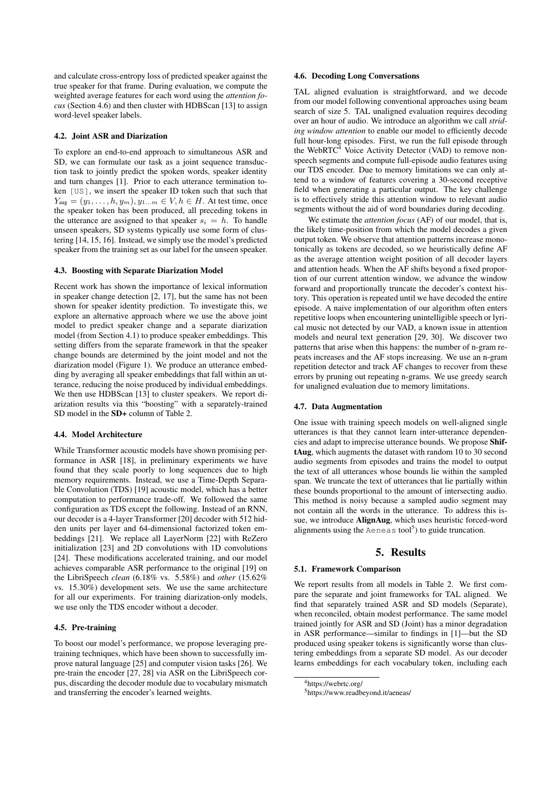and calculate cross-entropy loss of predicted speaker against the true speaker for that frame. During evaluation, we compute the weighted average features for each word using the *attention focus* (Section 4.6) and then cluster with HDBScan [13] to assign word-level speaker labels.

#### 4.2. Joint ASR and Diarization

To explore an end-to-end approach to simultaneous ASR and SD, we can formulate our task as a joint sequence transduction task to jointly predict the spoken words, speaker identity and turn changes [1]. Prior to each utterance termination token [US], we insert the speaker ID token such that such that  $Y_{\text{aug}} = (y_1, \ldots, h, y_m), \overline{y_1 \ldots m} \in V, h \in H$ . At test time, once the speaker token has been produced, all preceding tokens in the utterance are assigned to that speaker  $s_i = h$ . To handle unseen speakers, SD systems typically use some form of clustering [14, 15, 16]. Instead, we simply use the model's predicted speaker from the training set as our label for the unseen speaker.

#### 4.3. Boosting with Separate Diarization Model

Recent work has shown the importance of lexical information in speaker change detection [2, 17], but the same has not been shown for speaker identity prediction. To investigate this, we explore an alternative approach where we use the above joint model to predict speaker change and a separate diarization model (from Section 4.1) to produce speaker embeddings. This setting differs from the separate framework in that the speaker change bounds are determined by the joint model and not the diarization model (Figure 1). We produce an utterance embedding by averaging all speaker embeddings that fall within an utterance, reducing the noise produced by individual embeddings. We then use HDBScan [13] to cluster speakers. We report diarization results via this "boosting" with a separately-trained SD model in the **SD**+ column of Table 2.

#### 4.4. Model Architecture

While Transformer acoustic models have shown promising performance in ASR [18], in preliminary experiments we have found that they scale poorly to long sequences due to high memory requirements. Instead, we use a Time-Depth Separable Convolution (TDS) [19] acoustic model, which has a better computation to performance trade-off. We followed the same configuration as TDS except the following. Instead of an RNN, our decoder is a 4-layer Transformer [20] decoder with 512 hidden units per layer and 64-dimensional factorized token embeddings [21]. We replace all LayerNorm [22] with ReZero initialization [23] and 2D convolutions with 1D convolutions [24]. These modifications accelerated training, and our model achieves comparable ASR performance to the original [19] on the LibriSpeech *clean* (6.18% vs. 5.58%) and *other* (15.62% vs. 15.30%) development sets. We use the same architecture for all our experiments. For training diarization-only models, we use only the TDS encoder without a decoder.

#### 4.5. Pre-training

To boost our model's performance, we propose leveraging pretraining techniques, which have been shown to successfully improve natural language [25] and computer vision tasks [26]. We pre-train the encoder [27, 28] via ASR on the LibriSpeech corpus, discarding the decoder module due to vocabulary mismatch and transferring the encoder's learned weights.

### 4.6. Decoding Long Conversations

TAL aligned evaluation is straightforward, and we decode from our model following conventional approaches using beam search of size 5. TAL unaligned evaluation requires decoding over an hour of audio. We introduce an algorithm we call *striding window attention* to enable our model to efficiently decode full hour-long episodes. First, we run the full episode through the WebRTC $4$  Voice Activity Detector (VAD) to remove nonspeech segments and compute full-episode audio features using our TDS encoder. Due to memory limitations we can only attend to a window of features covering a 30-second receptive field when generating a particular output. The key challenge is to effectively stride this attention window to relevant audio segments without the aid of word boundaries during decoding.

We estimate the *attention focus* (AF) of our model, that is, the likely time-position from which the model decodes a given output token. We observe that attention patterns increase monotonically as tokens are decoded, so we heuristically define AF as the average attention weight position of all decoder layers and attention heads. When the AF shifts beyond a fixed proportion of our current attention window, we advance the window forward and proportionally truncate the decoder's context history. This operation is repeated until we have decoded the entire episode. A naive implementation of our algorithm often enters repetitive loops when encountering unintelligible speech or lyrical music not detected by our VAD, a known issue in attention models and neural text generation [29, 30]. We discover two patterns that arise when this happens: the number of n-gram repeats increases and the AF stops increasing. We use an n-gram repetition detector and track AF changes to recover from these errors by pruning out repeating n-grams. We use greedy search for unaligned evaluation due to memory limitations.

#### 4.7. Data Augmentation

One issue with training speech models on well-aligned single utterances is that they cannot learn inter-utterance dependencies and adapt to imprecise utterance bounds. We propose ShiftAug, which augments the dataset with random 10 to 30 second audio segments from episodes and trains the model to output the text of all utterances whose bounds lie within the sampled span. We truncate the text of utterances that lie partially within these bounds proportional to the amount of intersecting audio. This method is noisy because a sampled audio segment may not contain all the words in the utterance. To address this issue, we introduce AlignAug, which uses heuristic forced-word alignments using the Aeneas tool<sup>5</sup>) to guide truncation.

## 5. Results

#### 5.1. Framework Comparison

We report results from all models in Table 2. We first compare the separate and joint frameworks for TAL aligned. We find that separately trained ASR and SD models (Separate), when reconciled, obtain modest performance. The same model trained jointly for ASR and SD (Joint) has a minor degradation in ASR performance—similar to findings in [1]—but the SD produced using speaker tokens is significantly worse than clustering embeddings from a separate SD model. As our decoder learns embeddings for each vocabulary token, including each

<sup>4</sup>https://webrtc.org/

<sup>5</sup>https://www.readbeyond.it/aeneas/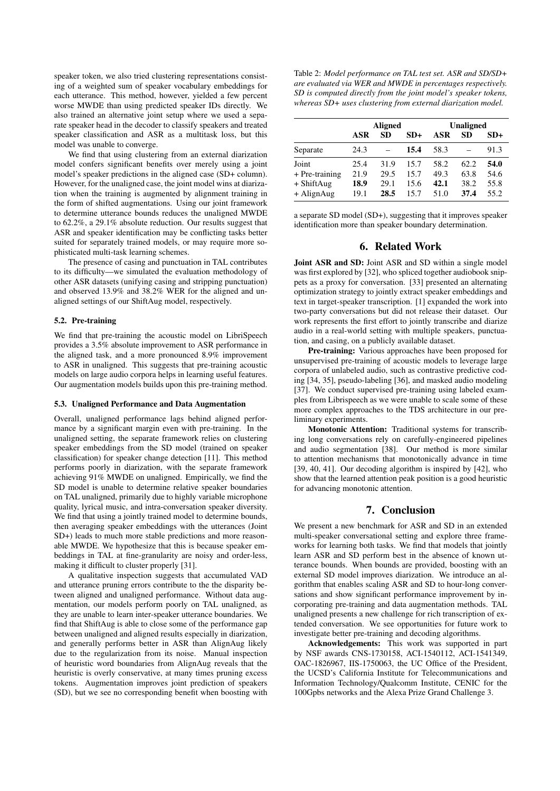speaker token, we also tried clustering representations consisting of a weighted sum of speaker vocabulary embeddings for each utterance. This method, however, yielded a few percent worse MWDE than using predicted speaker IDs directly. We also trained an alternative joint setup where we used a separate speaker head in the decoder to classify speakers and treated speaker classification and ASR as a multitask loss, but this model was unable to converge.

We find that using clustering from an external diarization model confers significant benefits over merely using a joint model's speaker predictions in the aligned case (SD+ column). However, for the unaligned case, the joint model wins at diarization when the training is augmented by alignment training in the form of shifted augmentations. Using our joint framework to determine utterance bounds reduces the unaligned MWDE to 62.2%, a 29.1% absolute reduction. Our results suggest that ASR and speaker identification may be conflicting tasks better suited for separately trained models, or may require more sophisticated multi-task learning schemes.

The presence of casing and punctuation in TAL contributes to its difficulty—we simulated the evaluation methodology of other ASR datasets (unifying casing and stripping punctuation) and observed 13.9% and 38.2% WER for the aligned and unaligned settings of our ShiftAug model, respectively.

#### 5.2. Pre-training

We find that pre-training the acoustic model on LibriSpeech provides a 3.5% absolute improvement to ASR performance in the aligned task, and a more pronounced 8.9% improvement to ASR in unaligned. This suggests that pre-training acoustic models on large audio corpora helps in learning useful features. Our augmentation models builds upon this pre-training method.

#### 5.3. Unaligned Performance and Data Augmentation

Overall, unaligned performance lags behind aligned performance by a significant margin even with pre-training. In the unaligned setting, the separate framework relies on clustering speaker embeddings from the SD model (trained on speaker classification) for speaker change detection [11]. This method performs poorly in diarization, with the separate framework achieving 91% MWDE on unaligned. Empirically, we find the SD model is unable to determine relative speaker boundaries on TAL unaligned, primarily due to highly variable microphone quality, lyrical music, and intra-conversation speaker diversity. We find that using a jointly trained model to determine bounds, then averaging speaker embeddings with the utterances (Joint SD+) leads to much more stable predictions and more reasonable MWDE. We hypothesize that this is because speaker embeddings in TAL at fine-granularity are noisy and order-less, making it difficult to cluster properly [31].

A qualitative inspection suggests that accumulated VAD and utterance pruning errors contribute to the the disparity between aligned and unaligned performance. Without data augmentation, our models perform poorly on TAL unaligned, as they are unable to learn inter-speaker utterance boundaries. We find that ShiftAug is able to close some of the performance gap between unaligned and aligned results especially in diarization, and generally performs better in ASR than AlignAug likely due to the regularization from its noise. Manual inspection of heuristic word boundaries from AlignAug reveals that the heuristic is overly conservative, at many times pruning excess tokens. Augmentation improves joint prediction of speakers (SD), but we see no corresponding benefit when boosting with Table 2: *Model performance on TAL test set. ASR and SD/SD+ are evaluated via WER and MWDE in percentages respectively. SD is computed directly from the joint model's speaker tokens, whereas SD+ uses clustering from external diarization model.*

|                                         | <b>Aligned</b>       |                      |                      | <b>Unaligned</b>     |                      |                      |
|-----------------------------------------|----------------------|----------------------|----------------------|----------------------|----------------------|----------------------|
|                                         | ASR                  | SD                   | $SD+$                | ASR                  | SD.                  | $SD+$                |
| Separate                                | 24.3                 |                      | 15.4                 | 58.3                 |                      | 91.3                 |
| Joint<br>$+$ Pre-training<br>+ ShiftAug | 25.4<br>21.9<br>18.9 | 31.9<br>29.5<br>29.1 | 15.7<br>15.7<br>15.6 | 58.2<br>49.3<br>42.1 | 62.2<br>63.8<br>38.2 | 54.0<br>54.6<br>55.8 |
| + AlignAug                              | 19.1                 | 28.5                 | 15.7                 | 51.0                 | 37.4                 | 55.2                 |

a separate SD model (SD+), suggesting that it improves speaker identification more than speaker boundary determination.

## 6. Related Work

Joint ASR and SD: Joint ASR and SD within a single model was first explored by [32], who spliced together audiobook snippets as a proxy for conversation. [33] presented an alternating optimization strategy to jointly extract speaker embeddings and text in target-speaker transcription. [1] expanded the work into two-party conversations but did not release their dataset. Our work represents the first effort to jointly transcribe and diarize audio in a real-world setting with multiple speakers, punctuation, and casing, on a publicly available dataset.

Pre-training: Various approaches have been proposed for unsupervised pre-training of acoustic models to leverage large corpora of unlabeled audio, such as contrastive predictive coding [34, 35], pseudo-labeling [36], and masked audio modeling [37]. We conduct supervised pre-training using labeled examples from Librispeech as we were unable to scale some of these more complex approaches to the TDS architecture in our preliminary experiments.

Monotonic Attention: Traditional systems for transcribing long conversations rely on carefully-engineered pipelines and audio segmentation [38]. Our method is more similar to attention mechanisms that monotonically advance in time [39, 40, 41]. Our decoding algorithm is inspired by [42], who show that the learned attention peak position is a good heuristic for advancing monotonic attention.

## 7. Conclusion

We present a new benchmark for ASR and SD in an extended multi-speaker conversational setting and explore three frameworks for learning both tasks. We find that models that jointly learn ASR and SD perform best in the absence of known utterance bounds. When bounds are provided, boosting with an external SD model improves diarization. We introduce an algorithm that enables scaling ASR and SD to hour-long conversations and show significant performance improvement by incorporating pre-training and data augmentation methods. TAL unaligned presents a new challenge for rich transcription of extended conversation. We see opportunities for future work to investigate better pre-training and decoding algorithms.

Acknowledgements: This work was supported in part by NSF awards CNS-1730158, ACI-1540112, ACI-1541349, OAC-1826967, IIS-1750063, the UC Office of the President, the UCSD's California Institute for Telecommunications and Information Technology/Qualcomm Institute, CENIC for the 100Gpbs networks and the Alexa Prize Grand Challenge 3.